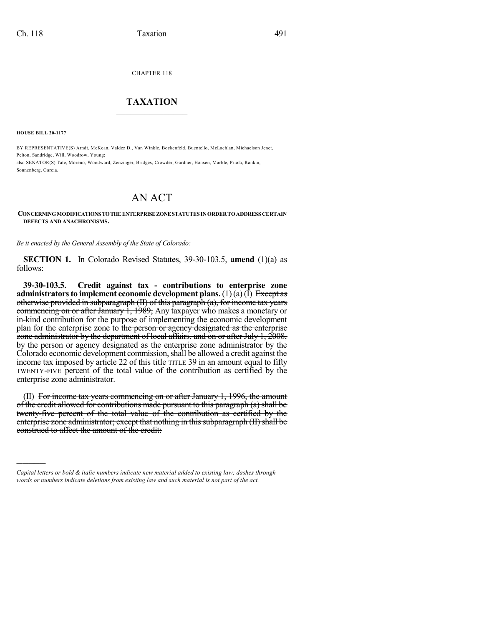CHAPTER 118

## $\mathcal{L}_\text{max}$  . The set of the set of the set of the set of the set of the set of the set of the set of the set of the set of the set of the set of the set of the set of the set of the set of the set of the set of the set **TAXATION**  $\_$

**HOUSE BILL 20-1177**

)))))

BY REPRESENTATIVE(S) Arndt, McKean, Valdez D., Van Winkle, Bockenfeld, Buentello, McLachlan, Michaelson Jenet, Pelton, Sandridge, Will, Woodrow, Young; also SENATOR(S) Tate, Moreno, Woodward, Zenzinger, Bridges, Crowder, Gardner, Hansen, Marble, Priola, Rankin,

Sonnenberg, Garcia.

## AN ACT

## **CONCERNINGMODIFICATIONSTOTHEENTERPRISEZONESTATUTES INORDERTOADDRESS CERTAIN DEFECTS AND ANACHRONISMS.**

*Be it enacted by the General Assembly of the State of Colorado:*

**SECTION 1.** In Colorado Revised Statutes, 39-30-103.5, **amend** (1)(a) as follows:

**39-30-103.5. Credit against tax - contributions to enterprise zone administrators to implement economic development plans.** (1)(a) (I) Except as otherwise provided in subparagraph (II) of this paragraph (a), for income tax years commencing on or after January 1, 1989, Any taxpayer who makes a monetary or in-kind contribution for the purpose of implementing the economic development plan for the enterprise zone to the person or agency designated as the enterprise zone administrator by the department of local affairs, and on or after July 1, 2008, by the person or agency designated as the enterprise zone administrator by the Colorado economic development commission, shall be allowed a credit against the income tax imposed by article 22 of this title TITLE 39 in an amount equal to  $\frac{f\text{ff}}{f}$ TWENTY-FIVE percent of the total value of the contribution as certified by the enterprise zone administrator.

(II) For income tax years commencing on or after January 1, 1996, the amount of the credit allowed for contributions made pursuant to this paragraph (a) shall be twenty-five percent of the total value of the contribution as certified by the enterprise zone administrator; except that nothing in this subparagraph  $(H)$  shall be construed to affect the amount of the credit:

*Capital letters or bold & italic numbers indicate new material added to existing law; dashes through words or numbers indicate deletions from existing law and such material is not part of the act.*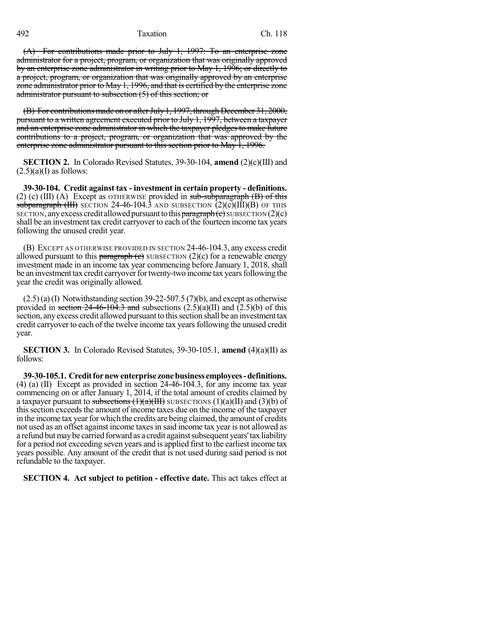492 Taxation Ch. 118

(A) For contributions made prior to July 1, 1997: To an enterprise zone administrator for a project, program, or organization that was originally approved by an enterprise zone administrator in writing prior to May 1, 1996; or directly to a project, program, or organization that was originally approved by an enterprise zone administrator prior to May 1, 1996, and that is certified by the enterprise zone administrator pursuant to subsection (5) of this section; or

(B) For contributions made on or after July 1, 1997, through December 31, 2000, pursuant to a written agreement executed prior to July 1, 1997, between a taxpayer and an enterprise zone administrator in which the taxpayer pledges to make future contributions to a project, program, or organization that was approved by the enterprise zone administrator pursuant to this section prior to May 1, 1996.

**SECTION 2.** In Colorado Revised Statutes, 39-30-104, **amend** (2)(c)(III) and  $(2.5)(a)$ (I) as follows:

**39-30-104. Credit against tax - investment in certain property - definitions.** (2) (c) (III) (A) Except as OTHERWISE provided in  $sub-sub-subparam$  (B) of this subparagraph (III) SECTION 24-46-104.3 AND SUBSECTION  $(2)(c)(III)(B)$  OF THIS SECTION, any excess credit allowed pursuant to this paragraph  $(c)$  SUBSECTION  $(2)(c)$ shall be an investment tax credit carryover to each of the fourteen income tax years following the unused credit year.

(B) EXCEPT AS OTHERWISE PROVIDED IN SECTION 24-46-104.3, any excess credit allowed pursuant to this paragraph  $\left(\epsilon\right)$  SUBSECTION (2)(c) for a renewable energy investment made in an income tax year commencing before January 1, 2018, shall be an investment tax credit carryover for twenty-two income tax years following the year the credit was originally allowed.

 $(2.5)(a)(I)$  Notwithstanding section 39-22-507.5 (7)(b), and except as otherwise provided in section 24-46-104.3 and subsections  $(2.5)(a)(II)$  and  $(2.5)(b)$  of this section, any excess credit allowed pursuant to this section shall be an investment tax credit carryover to each of the twelve income tax yearsfollowing the unused credit year.

**SECTION 3.** In Colorado Revised Statutes, 39-30-105.1, **amend** (4)(a)(II) as follows:

**39-30-105.1. Creditfornewenterprise zonebusiness employees-definitions.** (4) (a) (II) Except as provided in section 24-46-104.3, for any income tax year commencing on or after January 1, 2014, if the total amount of credits claimed by a taxpayer pursuant to subsections  $(1)(a)(III)$  SUBSECTIONS  $(1)(a)(II)$  and  $(3)(b)$  of thissection exceedsthe amount of income taxes due on the income of the taxpayer in the income tax year for which the credits are being claimed, the amount of credits not used as an offset against income taxesin said income tax year is not allowed as a refund but may be carried forward as a credit against subsequent years' tax liability for a period not exceeding seven years and is applied first to the earliest income tax years possible. Any amount of the credit that is not used during said period is not refundable to the taxpayer.

**SECTION 4. Act subject to petition - effective date.** This act takes effect at